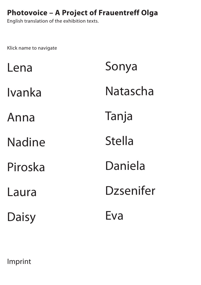<span id="page-0-0"></span>English translation of the exhibition texts.

Klick name to navigate

| Lena    | Sonya         |
|---------|---------------|
| Ivanka  | Natascha      |
| Anna    | Tanja         |
| Nadine  | <b>Stella</b> |
| Piroska | Daniela       |
| Laura   | Dzsenifer     |
| Daisy   | Eva           |

[Imprint](#page-25-0)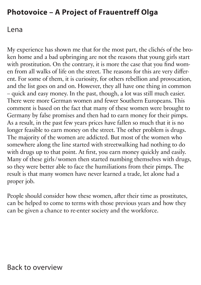#### <span id="page-1-0"></span>Lena

My experience has shown me that for the most part, the clichés of the broken home and a bad upbringing are not the reasons that young girls start with prostitution. On the contrary, it is more the case that you find women from all walks of life on the street. The reasons for this are very different. For some of them, it is curiosity, for others rebellion and provocation, and the list goes on and on. However, they all have one thing in common – quick and easy money. In the past, though, a lot was still much easier. There were more German women and fewer Southern Europeans. This comment is based on the fact that many of these women were brought to Germany by false promises and then had to earn money for their pimps. As a result, in the past few years prices have fallen so much that it is no longer feasible to earn money on the street. The other problem is drugs. The majority of the women are addicted. But most of the women who somewhere along the line started with streetwalking had nothing to do with drugs up to that point. At first, you earn money quickly and easily. Many of these girls / women then started numbing themselves with drugs, so they were better able to face the humiliations from their pimps. The result is that many women have never learned a trade, let alone had a proper job.

People should consider how these women, after their time as prostitutes, can be helped to come to terms with those previous years and how they can be given a chance to re-enter society and the workforce.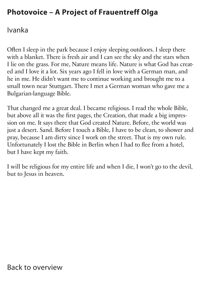#### <span id="page-2-0"></span>Ivanka

Often I sleep in the park because I enjoy sleeping outdoors. I sleep there with a blanket. There is fresh air and I can see the sky and the stars when I lie on the grass. For me, Nature means life. Nature is what God has created and I love it a lot. Six years ago I fell in love with a German man, and he in me. He didn't want me to continue working and brought me to a small town near Stuttgart. There I met a German woman who gave me a Bulgarian-language Bible.

That changed me a great deal. I became religious. I read the whole Bible, but above all it was the first pages, the Creation, that made a big impression on me. It says there that God created Nature. Before, the world was just a desert. Sand. Before I touch a Bible, I have to be clean, to shower and pray, because I am dirty since I work on the street. That is my own rule. Unfortunately I lost the Bible in Berlin when I had to flee from a hotel, but I have kept my faith.

I will be religious for my entire life and when I die, I won't go to the devil, but to Jesus in heaven.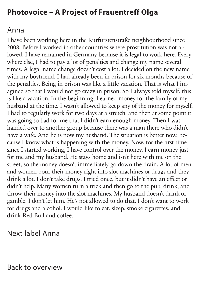#### <span id="page-3-0"></span>Anna

I have been working here in the Kurfürstenstraße neighbourhood since 2008. Before I worked in other countries where prostitution was not allowed. I have remained in Germany because it is legal to work here. Everywhere else, I had to pay a lot of penalties and change my name several times. A legal name change doesn't cost a lot. I decided on the new name with my boyfriend. I had already been in prison for six months because of the penalties. Being in prison was like a little vacation. That is what I imagined so that I would not go crazy in prison. So I always told myself, this is like a vacation. In the beginning, I earned money for the family of my husband at the time. I wasn't allowed to keep any of the money for myself. I had to regularly work for two days at a stretch, and then at some point it was going so bad for me that I didn't earn enough money. Then I was handed over to another group because there was a man there who didn't have a wife. And he is now my husband. The situation is better now, because I know what is happening with the money. Now, for the first time since I started working, I have control over the money. I earn money just for me and my husband. He stays home and isn't here with me on the street, so the money doesn't immediately go down the drain. A lot of men and women pour their money right into slot machines or drugs and they drink a lot. I don't take drugs. I tried once, but it didn't have an effect or didn't help. Many women turn a trick and then go to the pub, drink, and throw their money into the slot machines. My husband doesn't drink or gamble. I don't let him. He's not allowed to do that. I don't want to work for drugs and alcohol. I would like to eat, sleep, smoke cigarettes, and drink Red Bull and coffee.

### [Next label Anna](#page-4-0)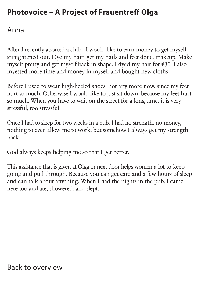#### <span id="page-4-0"></span>Anna

After I recently aborted a child, I would like to earn money to get myself straightened out. Dye my hair, get my nails and feet done, makeup. Make myself pretty and get myself back in shape. I dyed my hair for €30. I also invested more time and money in myself and bought new cloths.

Before I used to wear high-heeled shoes, not any more now, since my feet hurt so much. Otherwise I would like to just sit down, because my feet hurt so much. When you have to wait on the street for a long time, it is very stressful, too stressful.

Once I had to sleep for two weeks in a pub. I had no strength, no money, nothing to even allow me to work, but somehow I always get my strength back.

God always keeps helping me so that I get better.

This assistance that is given at Olga or next door helps women a lot to keep going and pull through. Because you can get care and a few hours of sleep and can talk about anything. When I had the nights in the pub, I came here too and ate, showered, and slept.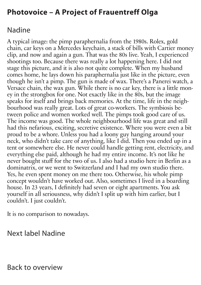#### <span id="page-5-0"></span>Nadine

A typical image: the pimp paraphernalia from the 1980s. Rolex, gold chain, car keys on a Mercedes keychain, a stack of bills with Cartier money clip, and now and again a gun. That was the 80s live. Yeah, I experienced shootings too. Because there was really a lot happening here. I did not stage this picture, and it is also not quite complete. When my husband comes home, he lays down his paraphernalia just like in the picture, even though he isn't a pimp. The gun is made of wax. There's a Panerei watch, a Versace chain, the wax gun. While there is no car key, there is a little money in the strongbox for one. Not exactly like in the 80s, but the image speaks for itself and brings back memories. At the time, life in the neighbourhood was really great. Lots of great co-workers. The symbiosis between police and women worked well. The pimps took good care of us. The income was good. The whole neighbourhood life was great and still had this nefarious, exciting, secretive existence. Where you were even a bit proud to be a whore. Unless you had a loony guy hanging around your neck, who didn't take care of anything, like I did. Then you ended up in a tent or somewhere else. He never could handle getting rent, electricity, and everything else paid, although he had my entire income. It's not like he never bought stuff for the two of us. I also had a studio here in Berlin as a dominatrix, or we went to Switzerland and I had my own studio there. Yes, he even spent money on me there too. Otherwise, his whole pimp concept wouldn't have worked out. Also, sometimes I lived in a boarding house. In 23 years, I definitely had seven or eight apartments. You ask yourself in all seriousness, why didn't I split up with him earlier, but I couldn't. I just couldn't.

It is no comparison to nowadays.

### [Next label Nadine](#page-6-0)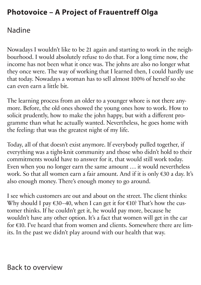### <span id="page-6-0"></span>Nadine

Nowadays I wouldn't like to be 21 again and starting to work in the neighbourhood. I would absolutely refuse to do that. For a long time now, the income has not been what it once was. The johns are also no longer what they once were. The way of working that I learned then, I could hardly use that today. Nowadays a woman has to sell almost 100% of herself so she can even earn a little bit.

The learning process from an older to a younger whore is not there anymore. Before, the old ones showed the young ones how to work. How to solicit prudently, how to make the john happy, but with a different programme than what he actually wanted. Nevertheless, he goes home with the feeling: that was the greatest night of my life.

Today, all of that doesn't exist anymore. If everybody pulled together, if everything was a tight-knit community and those who didn't hold to their commitments would have to answer for it, that would still work today. Even when you no longer earn the same amount … it would nevertheless work. So that all women earn a fair amount. And if it is only €30 a day. It's also enough money. There's enough money to go around.

I see which customers are out and about on the street. The client thinks: Why should I pay  $\epsilon$ 30–40, when I can get it for  $\epsilon$ 10? That's how the customer thinks. If he couldn't get it, he would pay more, because he wouldn't have any other option. It's a fact that women will get in the car for €10. I've heard that from women and clients. Somewhere there are limits. In the past we didn't play around with our health that way.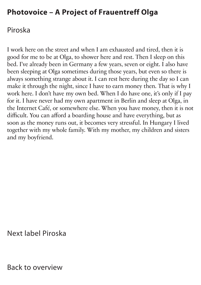#### <span id="page-7-0"></span>Piroska

I work here on the street and when I am exhausted and tired, then it is good for me to be at Olga, to shower here and rest. Then I sleep on this bed. I've already been in Germany a few years, seven or eight. I also have been sleeping at Olga sometimes during those years, but even so there is always something strange about it. I can rest here during the day so I can make it through the night, since I have to earn money then. That is why I work here. I don't have my own bed. When I do have one, it's only if I pay for it. I have never had my own apartment in Berlin and sleep at Olga, in the Internet Café, or somewhere else. When you have money, then it is not difficult. You can afford a boarding house and have everything, but as soon as the money runs out, it becomes very stressful. In Hungary I lived together with my whole family. With my mother, my children and sisters and my boyfriend.

[Next label Piroska](#page-8-0)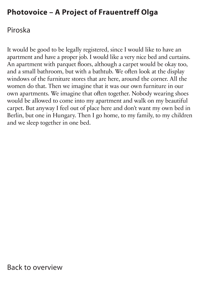### <span id="page-8-0"></span>Piroska

It would be good to be legally registered, since I would like to have an apartment and have a proper job. I would like a very nice bed and curtains. An apartment with parquet floors, although a carpet would be okay too, and a small bathroom, but with a bathtub. We often look at the display windows of the furniture stores that are here, around the corner. All the women do that. Then we imagine that it was our own furniture in our own apartments. We imagine that often together. Nobody wearing shoes would be allowed to come into my apartment and walk on my beautiful carpet. But anyway I feel out of place here and don't want my own bed in Berlin, but one in Hungary. Then I go home, to my family, to my children and we sleep together in one bed.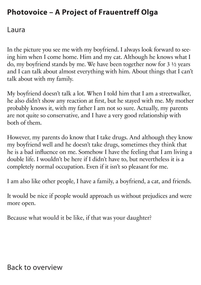#### <span id="page-9-0"></span>Laura

In the picture you see me with my boyfriend. I always look forward to seeing him when I come home. Him and my cat. Although he knows what I do, my boyfriend stands by me. We have been together now for 3 ½ years and I can talk about almost everything with him. About things that I can't talk about with my family.

My boyfriend doesn't talk a lot. When I told him that I am a streetwalker, he also didn't show any reaction at first, but he stayed with me. My mother probably knows it, with my father I am not so sure. Actually, my parents are not quite so conservative, and I have a very good relationship with both of them.

However, my parents do know that I take drugs. And although they know my boyfriend well and he doesn't take drugs, sometimes they think that he is a bad influence on me. Somehow I have the feeling that I am living a double life. I wouldn't be here if I didn't have to, but nevertheless it is a completely normal occupation. Even if it isn't so pleasant for me.

I am also like other people, I have a family, a boyfriend, a cat, and friends.

It would be nice if people would approach us without prejudices and were more open.

Because what would it be like, if that was your daughter?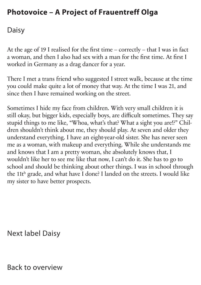<span id="page-10-0"></span>Daisy

At the age of 19 I realised for the first time – correctly – that I was in fact a woman, and then I also had sex with a man for the first time. At first I worked in Germany as a drag dancer for a year.

There I met a trans friend who suggested I street walk, because at the time you could make quite a lot of money that way. At the time I was 21, and since then I have remained working on the street.

Sometimes I hide my face from children. With very small children it is still okay, but bigger kids, especially boys, are difficult sometimes. They say stupid things to me like, "Whoa, what's that? What a sight you are!?" Children shouldn't think about me, they should play. At seven and older they understand everything. I have an eight-year-old sister. She has never seen me as a woman, with makeup and everything. While she understands me and knows that I am a pretty woman, she absolutely knows that, I wouldn't like her to see me like that now, I can't do it. She has to go to school and should be thinking about other things. I was in school through the 11t h grade, and what have I done? I landed on the streets. I would like my sister to have better prospects.

[Next label Daisy](#page-11-0)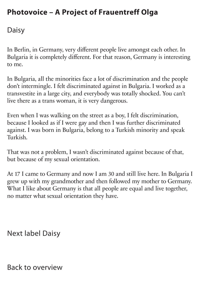#### <span id="page-11-0"></span>Daisy

In Berlin, in Germany, very different people live amongst each other. In Bulgaria it is completely different. For that reason, Germany is interesting to me.

In Bulgaria, all the minorities face a lot of discrimination and the people don't intermingle. I felt discriminated against in Bulgaria. I worked as a transvestite in a large city, and everybody was totally shocked. You can't live there as a trans woman, it is very dangerous.

Even when I was walking on the street as a boy, I felt discrimination, because I looked as if I were gay and then I was further discriminated against. I was born in Bulgaria, belong to a Turkish minority and speak Turkish.

That was not a problem, I wasn't discriminated against because of that, but because of my sexual orientation.

At 17 I came to Germany and now I am 30 and still live here. In Bulgaria I grew up with my grandmother and then followed my mother to Germany. What I like about Germany is that all people are equal and live together, no matter what sexual orientation they have.

[Next label Daisy](#page-12-0)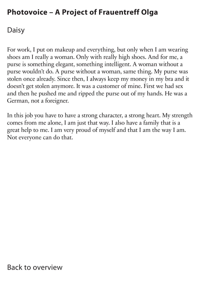<span id="page-12-0"></span>Daisy

For work, I put on makeup and everything, but only when I am wearing shoes am I really a woman. Only with really high shoes. And for me, a purse is something elegant, something intelligent. A woman without a purse wouldn't do. A purse without a woman, same thing. My purse was stolen once already. Since then, I always keep my money in my bra and it doesn't get stolen anymore. It was a customer of mine. First we had sex and then he pushed me and ripped the purse out of my hands. He was a German, not a foreigner.

In this job you have to have a strong character, a strong heart. My strength comes from me alone, I am just that way. I also have a family that is a great help to me. I am very proud of myself and that I am the way I am. Not everyone can do that.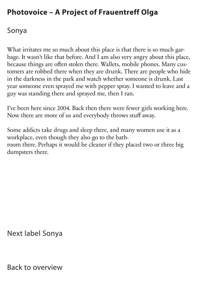#### <span id="page-13-0"></span>Sonya

What irritates me so much about this place is that there is so much garbage. It wasn't like that before. And I am also very angry about this place, because things are often stolen there. Wallets, mobile phones. Many customers are robbed there when they are drunk. There are people who hide in the darkness in the park and watch whether someone is drunk. Last year someone even sprayed me with pepper spray. I wanted to leave and a guy was standing there and sprayed me, then I ran.

I've been here since 2004. Back then there were fewer girls working here. Now there are more of us and everybody throws stuff away.

Some addicts take drugs and sleep there, and many women use it as a workplace, even though they also go to the bathroom there. Perhaps it would be cleaner if they placed two or three big dumpsters there.

[Next label Sonya](#page-14-0)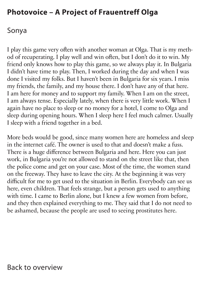#### <span id="page-14-0"></span>Sonya

I play this game very often with another woman at Olga. That is my method of recuperating. I play well and win often, but I don't do it to win. My friend only knows how to play this game, so we always play it. In Bulgaria I didn't have time to play. Then, I worked during the day and when I was done I visited my folks. But I haven't been in Bulgaria for six years. I miss my friends, the family, and my house there. I don't have any of that here. I am here for money and to support my family. When I am on the street, I am always tense. Especially lately, when there is very little work. When I again have no place to sleep or no money for a hotel, I come to Olga and sleep during opening hours. When I sleep here I feel much calmer. Usually I sleep with a friend together in a bed.

More beds would be good, since many women here are homeless and sleep in the internet café. The owner is used to that and doesn't make a fuss. There is a huge difference between Bulgaria and here. Here you can just work, in Bulgaria you're not allowed to stand on the street like that, then the police come and get on your case. Most of the time, the women stand on the freeway. They have to leave the city. At the beginning it was very difficult for me to get used to the situation in Berlin. Everybody can see us here, even children. That feels strange, but a person gets used to anything with time. I came to Berlin alone, but I knew a few women from before, and they then explained everything to me. They said that I do not need to be ashamed, because the people are used to seeing prostitutes here.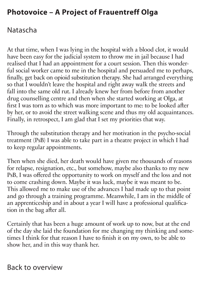### <span id="page-15-0"></span>Natascha

At that time, when I was lying in the hospital with a blood clot, it would have been easy for the judicial system to throw me in jail because I had realised that I had an appointment for a court session. Then this wonderful social worker came to me in the hospital and persuaded me to perhaps, finally, get back on opioid substitution therapy. She had arranged everything so that I wouldn't leave the hospital and right away walk the streets and fall into the same old rut. I already knew her from before from another drug counselling centre and then when she started working at Olga, at first I was torn as to which was more important to me: to be looked after by her, or to avoid the street walking scene and thus my old acquaintances. Finally, in retrospect, I am glad that I set my priorities that way.

Through the substitution therapy and her motivation in the psycho-social treatment (PsB) I was able to take part in a theatre project in which I had to keep regular appointments.

Then when she died, her death would have given me thousands of reasons for relapse, resignation, etc., but somehow, maybe also thanks to my new PsB, I was offered the opportunity to work on myself and the loss and not to come crashing down. Maybe it was luck, maybe it was meant to be. This allowed me to make use of the advances I had made up to that point and go through a training programme. Meanwhile, I am in the middle of an apprenticeship and in about a year I will have a professional qualification in the bag after all.

Certainly that has been a huge amount of work up to now, but at the end of the day she laid the foundation for me changing my thinking and sometimes I think for that reason I have to finish it on my own, to be able to show her, and in this way thank her.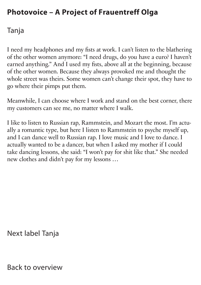### <span id="page-16-0"></span>Tanja

I need my headphones and my fists at work. I can't listen to the blathering of the other women anymore: "I need drugs, do you have a euro? I haven't earned anything." And I used my fists, above all at the beginning, because of the other women. Because they always provoked me and thought the whole street was theirs. Some women can't change their spot, they have to go where their pimps put them.

Meanwhile, I can choose where I work and stand on the best corner, there my customers can see me, no matter where I walk.

I like to listen to Russian rap, Rammstein, and Mozart the most. I'm actually a romantic type, but here I listen to Rammstein to psyche myself up, and I can dance well to Russian rap. I love music and I love to dance. I actually wanted to be a dancer, but when I asked my mother if I could take dancing lessons, she said: "I won't pay for shit like that." She needed new clothes and didn't pay for my lessons …

[Next label](#page-17-0) Tanja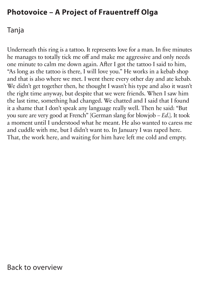#### <span id="page-17-0"></span>Tanja

Underneath this ring is a tattoo. It represents love for a man. In five minutes he manages to totally tick me off and make me aggressive and only needs one minute to calm me down again. After I got the tattoo I said to him, "As long as the tattoo is there, I will love you." He works in a kebab shop and that is also where we met. I went there every other day and ate kebab. We didn't get together then, he thought I wasn't his type and also it wasn't the right time anyway, but despite that we were friends. When I saw him the last time, something had changed. We chatted and I said that I found it a shame that I don't speak any language really well. Then he said: "But you sure are very good at French" [German slang for blowjob – *Ed*.]. It took a moment until I understood what he meant. He also wanted to caress me and cuddle with me, but I didn't want to. In January I was raped here. That, the work here, and waiting for him have left me cold and empty.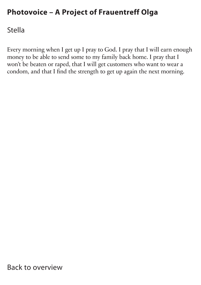#### <span id="page-18-0"></span>Stella

Every morning when I get up I pray to God. I pray that I will earn enough money to be able to send some to my family back home. I pray that I won't be beaten or raped, that I will get customers who want to wear a condom, and that I find the strength to get up again the next morning.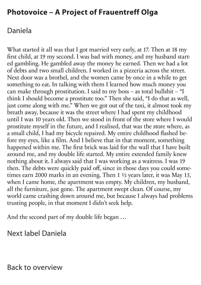### <span id="page-19-0"></span>Daniela

What started it all was that I got married very early, at 17. Then at 18 my first child, at 19 my second. I was bad with money, and my husband started gambling. He gambled away the money he earned. Then we had a lot of debts and two small children. I worked in a pizzeria across the street. Next door was a brothel, and the women came by once in a while to get something to eat. In talking with them I learned how much money you can make through prostitution. I said to my boss – as total bullshit – "I think I should become a prostitute too." Then she said, "I do that as well, just come along with me." When we got out of the taxi, it almost took my breath away, because it was the street where I had spent my childhood until I was 10 years old. Then we stood in front of the store where I would prostitute myself in the future, and I realised, that was the store where, as a small child, I had my bicycle repaired. My entire childhood flashed before my eyes, like a film. And I believe that in that moment, something happened within me. The first brick was laid for the wall that I have built around me, and my double life started. My entire extended family knew nothing about it. I always said that I was working as a waitress. I was 19 then. The debts were quickly paid off, since in those days you could sometimes earn 2000 marks in an evening. Then 1 ½ years later, it was May 15, when I came home, the apartment was empty. My children, my husband, all the furniture, just gone. The apartment swept clean. Of course, my world came crashing down around me, but because I always had problems trusting people, in that moment I didn't seek help.

And the second part of my double life began …

[Next label Daniela](#page-20-0)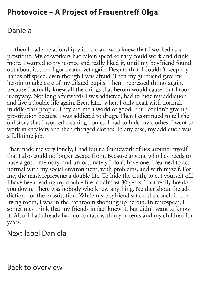### <span id="page-20-0"></span>Daniela

… then I had a relationship with a man, who knew that I worked as a prostitute. My co-workers had taken speed so they could work and drink more. I wanted to try it once and really liked it, until my boyfriend found out about it, then I got beaten yet again. Despite that, I couldn't keep my hands off speed, even though I was afraid. Then my girlfriend gave me heroin to take care of my dilated pupils. Then I repressed things again, because I actually knew all the things that heroin would cause, but I took it anyway. Not long afterwards I was addicted, had to hide my addiction and live a double life again. Even later, when I only dealt with normal, middle-class people. They did me a world of good, but I couldn't give up prostitution because I was addicted to drugs. Then I continued to tell the old story that I worked cleaning homes. I had to hide my clothes. I went to work in sneakers and then changed clothes. In any case, my addiction was a full-time job.

That made me very lonely, I had built a framework of lies around myself that I also could no longer escape from. Because anyone who lies needs to have a good memory, and unfortunately I don't have one. I learned to act normal with my social environment, with problems, and with myself. For me, the mask represents a double life. To hide the truth, to cut yourself off. I have been leading my double life for almost 30 years. That really breaks you down. There was nobody who knew anything. Neither about the addiction nor the prostitution. While my boyfriend sat on the couch in the living room, I was in the bathroom shooting up heroin. In retrospect, I sometimes think that my friends in fact knew it, but didn't want to know it. Also, I had already had no contact with my parents and my children for years.

#### [Next label Daniela](#page-21-0)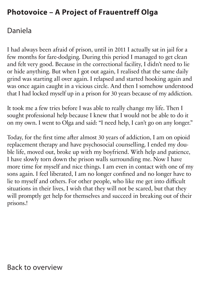### <span id="page-21-0"></span>Daniela

I had always been afraid of prison, until in 2011 I actually sat in jail for a few months for fare-dodging. During this period I managed to get clean and felt very good. Because in the correctional facility, I didn't need to lie or hide anything. But when I got out again, I realised that the same daily grind was starting all over again. I relapsed and started hooking again and was once again caught in a vicious circle. And then I somehow understood that I had locked myself up in a prison for 30 years because of my addiction.

It took me a few tries before I was able to really change my life. Then I sought professional help because I knew that I would not be able to do it on my own. I went to Olga and said: "I need help, I can't go on any longer."

Today, for the first time after almost 30 years of addiction, I am on opioid replacement therapy and have psychosocial counselling. I ended my double life, moved out, broke up with my boyfriend. With help and patience, I have slowly torn down the prison walls surrounding me. Now I have more time for myself and nice things. I am even in contact with one of my sons again. I feel liberated, I am no longer confined and no longer have to lie to myself and others. For other people, who like me get into difficult situations in their lives, I wish that they will not be scared, but that they will promptly get help for themselves and succeed in breaking out of their prisons.!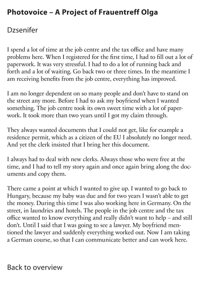### <span id="page-22-0"></span>Dzsenifer

I spend a lot of time at the job centre and the tax office and have many problems here. When I registered for the first time, I had to fill out a lot of paperwork. It was very stressful. I had to do a lot of running back and forth and a lot of waiting. Go back two or three times. In the meantime I am receiving benefits from the job centre, everything has improved.

I am no longer dependent on so many people and don't have to stand on the street any more. Before I had to ask my boyfriend when I wanted something. The job centre took its own sweet time with a lot of paperwork. It took more than two years until I got my claim through.

They always wanted documents that I could not get, like for example a residence permit, which as a citizen of the EU I absolutely no longer need. And yet the clerk insisted that I bring her this document.

I always had to deal with new clerks. Always those who were free at the time, and I had to tell my story again and once again bring along the documents and copy them.

There came a point at which I wanted to give up. I wanted to go back to Hungary, because my baby was due and for two years I wasn't able to get the money. During this time I was also working here in Germany. On the street, in laundries and hotels. The people in the job centre and the tax office wanted to know everything and really didn't want to help – and still don't. Until I said that I was going to see a lawyer. My boyfriend mentioned the lawyer and suddenly everything worked out. Now I am taking a German course, so that I can communicate better and can work here.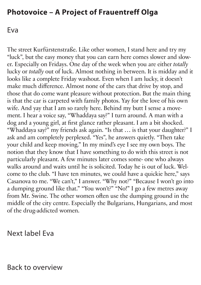#### <span id="page-23-0"></span>Eva

The street Kurfürstenstraße. Like other women, I stand here and try my "luck", but the easy money that you can earn here comes slower and slower. Especially on Fridays. One day of the week when you are either *totally* lucky or *totally* out of luck. Almost nothing in between. It is midday and it looks like a complete Friday washout. Even when I am lucky, it doesn't make much difference. Almost none of the cars that drive by stop, and those that do come want pleasure without protection. But the main thing is that the car is carpeted with family photos. Yay for the love of his own wife. And yay that I am so rarely here. Behind my butt I sense a movement. I hear a voice say, "Whaddaya say?" I turn around. A man with a dog and a young girl, at first glance rather pleasant. I am a bit shocked. "Whaddaya say?" my friends ask again. "Is that … is that your daughter?" I ask and am completely perplexed. "Yes", he answers quietly. "Then take your child and keep moving." In my mind's eye I see my own boys. The notion that they know that I have something to do with this street is not particularly pleasant. A few minutes later comes some- one who always walks around and waits until he is solicited. Today he is out of luck. Welcome to the club. "I have ten minutes, we could have a quickie here," says Casanova to me. "We can't," I answer. "Why not?" "Because I won't go into a dumping ground like that." "You won't?" "No!" I go a few metres away from Mr. Swine. The other women often use the dumping ground in the middle of the city centre. Especially the Bulgarians, Hungarians, and most of the drug-addicted women.

[Next label Eva](#page-24-0)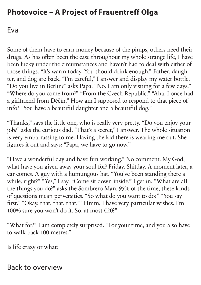#### <span id="page-24-0"></span>Eva

Some of them have to earn money because of the pimps, others need their drugs. As has often been the case throughout my whole strange life, I have been lucky under the circumstances and haven't had to deal with either of those things. "It's warm today. You should drink enough." Father, daughter, and dog are back. "I'm careful," I answer and display my water bottle. "Do you live in Berlin?" asks Papa. "No. I am only visiting for a few days." "Where do you come from?" "From the Czech Republic." "Aha. I once had a girlfriend from Děčín." How am I supposed to respond to that piece of info? "You have a beautiful daughter and a beautiful dog."

"Thanks," says the little one, who is really very pretty. "Do you enjoy your job?" asks the curious dad. "That's a secret," I answer. The whole situation is very embarrassing to me. Having the kid there is wearing me out. She figures it out and says: "Papa, we have to go now."

"Have a wonderful day and have fun working." No comment. My God, what have you given away your soul for? Friday. Shitday. A moment later, a car comes. A guy with a humungous hat. "You've been standing there a while, right?" "Yes," I say. "Come sit down inside." I get in. "What are all the things you do?" asks the Sombrero Man. 95% of the time, these kinds of questions mean perversities. "So what do you want to do?" "You say first." "Okay, that, that, that." "Hmm, I have very particular wishes. I'm 100% sure you won't do it. So, at most €20?"

"What for?" I am completely surprised. "For your time, and you also have to walk back 100 metres."

Is life crazy or what?